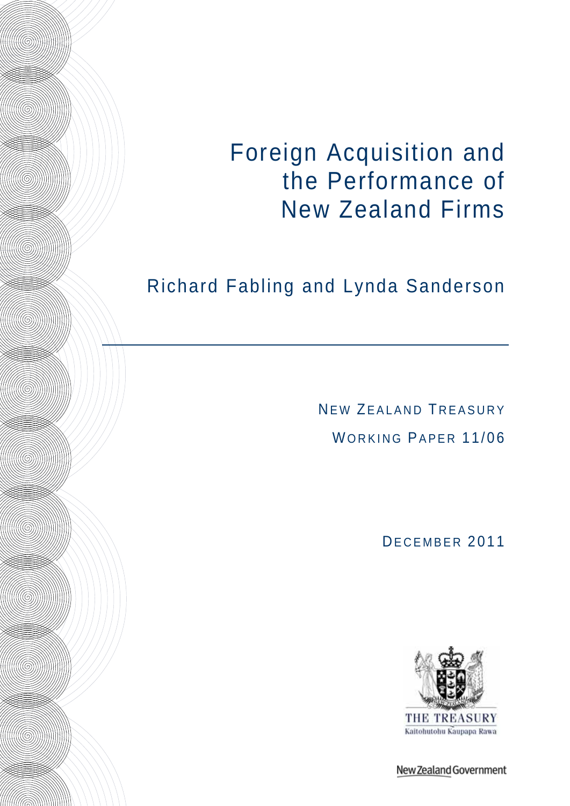Foreign Acquisition and the Performance of New Zealand Firms

# Richard Fabling and Lynda Sanderson

**Allian Communication** 

**All (COMMUN)** 

HHOS

**Allian Communication** 

**Allian Communication** 

IIII (SINNIN)

**Allian September 1980** 

**All Communication** 

HIII (SINNIN)

**Alliance Manual According to the Community** 

**Allian Communication** 

NEW ZEALAND TREASURY WORKING PAPER 11/06

DECEMBER 2011



New Zealand Government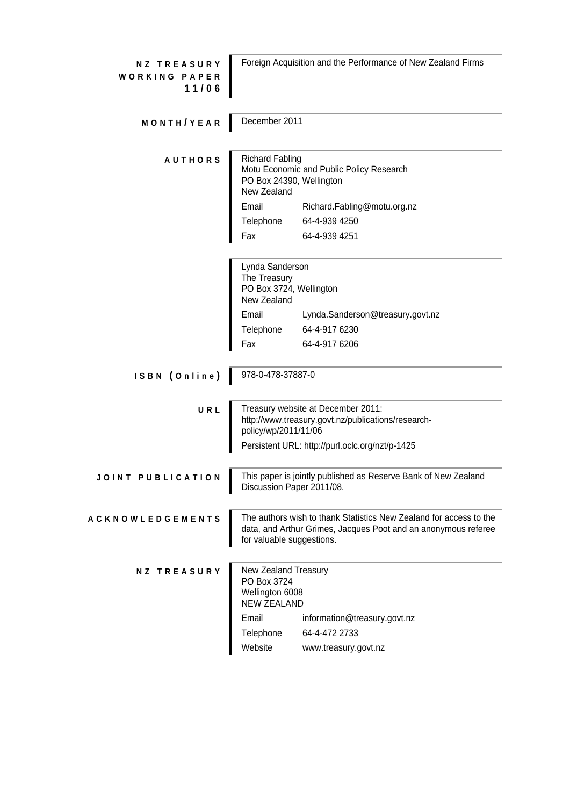| <b>NZ TREASURY</b><br><b>WORKING PAPER</b><br>11/06 | Foreign Acquisition and the Performance of New Zealand Firms                 |                                                                                                                                      |  |  |  |
|-----------------------------------------------------|------------------------------------------------------------------------------|--------------------------------------------------------------------------------------------------------------------------------------|--|--|--|
| MONTH/YEAR                                          | December 2011                                                                |                                                                                                                                      |  |  |  |
| <b>AUTHORS</b>                                      | <b>Richard Fabling</b><br>PO Box 24390, Wellington<br>New Zealand            | Motu Economic and Public Policy Research                                                                                             |  |  |  |
|                                                     | Email                                                                        | Richard.Fabling@motu.org.nz                                                                                                          |  |  |  |
|                                                     | Telephone                                                                    | 64-4-939 4250                                                                                                                        |  |  |  |
|                                                     | Fax                                                                          | 64-4-939 4251                                                                                                                        |  |  |  |
|                                                     | Lynda Sanderson<br>The Treasury<br>PO Box 3724, Wellington                   |                                                                                                                                      |  |  |  |
|                                                     | New Zealand                                                                  |                                                                                                                                      |  |  |  |
|                                                     | Email                                                                        | Lynda.Sanderson@treasury.govt.nz                                                                                                     |  |  |  |
|                                                     | Telephone                                                                    | 64-4-917 6230                                                                                                                        |  |  |  |
|                                                     | Fax                                                                          | 64-4-917 6206                                                                                                                        |  |  |  |
| ISBN (Online)                                       | 978-0-478-37887-0                                                            |                                                                                                                                      |  |  |  |
| URL                                                 | policy/wp/2011/11/06                                                         | Treasury website at December 2011:<br>http://www.treasury.govt.nz/publications/research-                                             |  |  |  |
|                                                     |                                                                              | Persistent URL: http://purl.oclc.org/nzt/p-1425                                                                                      |  |  |  |
| JOINT PUBLICATION                                   | Discussion Paper 2011/08.                                                    | This paper is jointly published as Reserve Bank of New Zealand                                                                       |  |  |  |
| <b>ACKNOWLEDGEMENTS</b>                             | for valuable suggestions.                                                    | The authors wish to thank Statistics New Zealand for access to the<br>data, and Arthur Grimes, Jacques Poot and an anonymous referee |  |  |  |
| <b>NZ TREASURY</b>                                  | New Zealand Treasury<br>PO Box 3724<br>Wellington 6008<br><b>NEW ZEALAND</b> |                                                                                                                                      |  |  |  |
|                                                     | Email                                                                        | information@treasury.govt.nz                                                                                                         |  |  |  |
|                                                     | Telephone                                                                    | 64-4-472 2733                                                                                                                        |  |  |  |
|                                                     | Website                                                                      | www.treasury.govt.nz                                                                                                                 |  |  |  |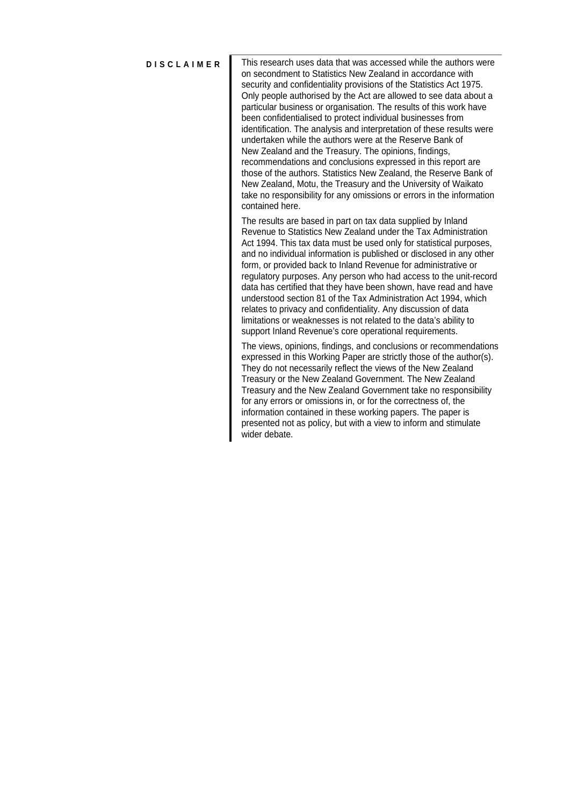**DISCLAIMER** This research uses data that was accessed while the authors were on secondment to Statistics New Zealand in accordance with security and confidentiality provisions of the Statistics Act 1975. Only people authorised by the Act are allowed to see data about a particular business or organisation. The results of this work have been confidentialised to protect individual businesses from identification. The analysis and interpretation of these results were undertaken while the authors were at the Reserve Bank of New Zealand and the Treasury. The opinions, findings, recommendations and conclusions expressed in this report are those of the authors. Statistics New Zealand, the Reserve Bank of New Zealand, Motu, the Treasury and the University of Waikato take no responsibility for any omissions or errors in the information contained here.

> The results are based in part on tax data supplied by Inland Revenue to Statistics New Zealand under the Tax Administration Act 1994. This tax data must be used only for statistical purposes, and no individual information is published or disclosed in any other form, or provided back to Inland Revenue for administrative or regulatory purposes. Any person who had access to the unit-record data has certified that they have been shown, have read and have understood section 81 of the Tax Administration Act 1994, which relates to privacy and confidentiality. Any discussion of data limitations or weaknesses is not related to the data's ability to support Inland Revenue's core operational requirements.

> The views, opinions, findings, and conclusions or recommendations expressed in this Working Paper are strictly those of the author(s). They do not necessarily reflect the views of the New Zealand Treasury or the New Zealand Government. The New Zealand Treasury and the New Zealand Government take no responsibility for any errors or omissions in, or for the correctness of, the information contained in these working papers. The paper is presented not as policy, but with a view to inform and stimulate wider debate.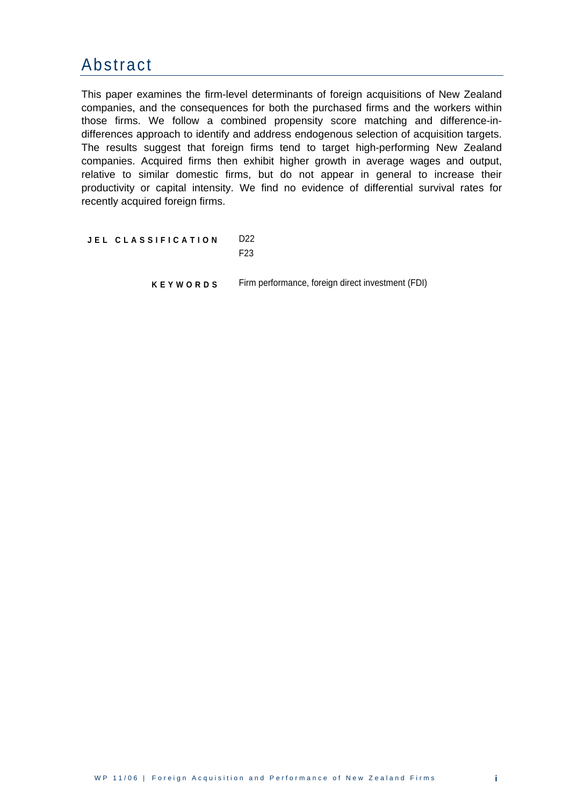#### <span id="page-3-0"></span>Abstract

This paper examines the firm-level determinants of foreign acquisitions of New Zealand companies, and the consequences for both the purchased firms and the workers within those firms. We follow a combined propensity score matching and difference-indifferences approach to identify and address endogenous selection of acquisition targets. The results suggest that foreign firms tend to target high-performing New Zealand companies. Acquired firms then exhibit higher growth in average wages and output, relative to similar domestic firms, but do not appear in general to increase their productivity or capital intensity. We find no evidence of differential survival rates for recently acquired foreign firms.

**JEL CLASSIFICATION** D22

F23

**KEYWORDS** Firm performance, foreign direct investment (FDI)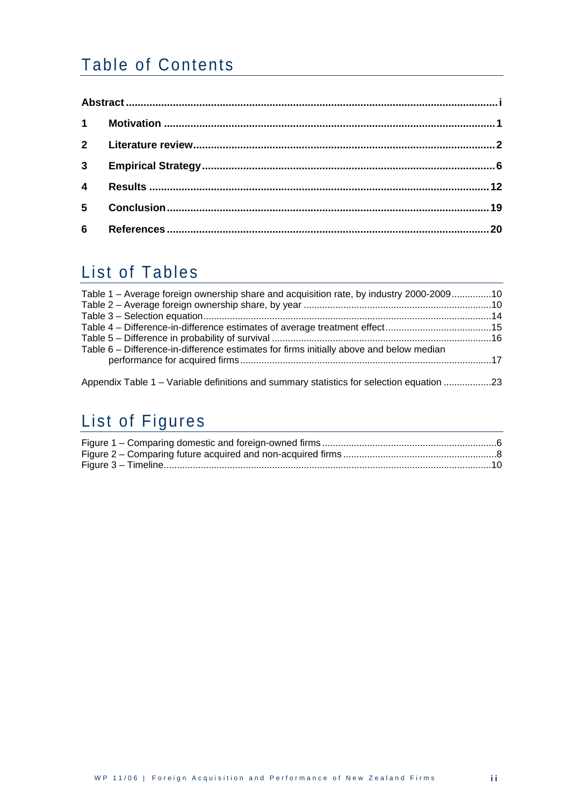## Table of Contents

| $\overline{4}$ |  |
|----------------|--|
| 5 <sup>1</sup> |  |
|                |  |

### List of Tables

| Table 1 – Average foreign ownership share and acquisition rate, by industry 2000-200910 |  |
|-----------------------------------------------------------------------------------------|--|
|                                                                                         |  |
|                                                                                         |  |
|                                                                                         |  |
| Table 6 – Difference-in-difference estimates for firms initially above and below median |  |
|                                                                                         |  |
|                                                                                         |  |

Appendix Table 1 – Variable definitions and summary statistics for selection equation ..................23

# List of Figures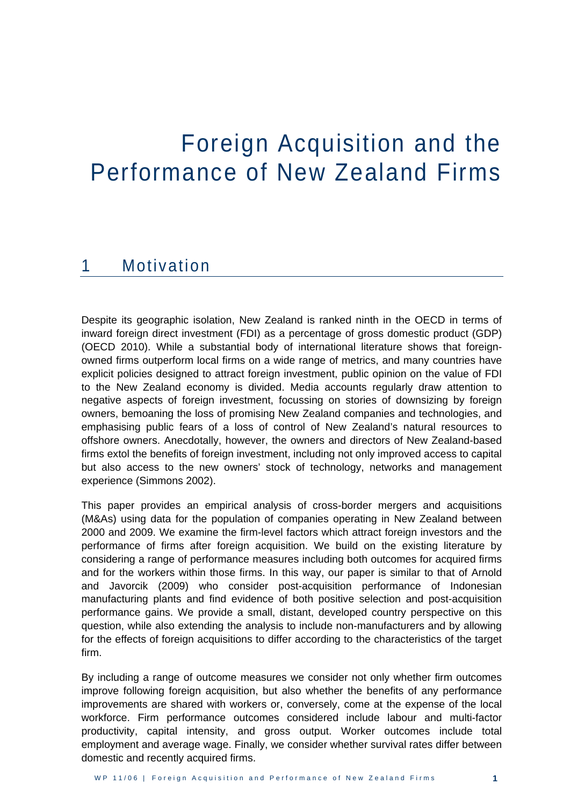# <span id="page-5-0"></span>Foreign Acquisition and the Performance of New Zealand Firms

#### 1 Motivation

Despite its geographic isolation, New Zealand is ranked ninth in the OECD in terms of inward foreign direct investment (FDI) as a percentage of gross domestic product (GDP) (OECD 2010). While a substantial body of international literature shows that foreignowned firms outperform local firms on a wide range of metrics, and many countries have explicit policies designed to attract foreign investment, public opinion on the value of FDI to the New Zealand economy is divided. Media accounts regularly draw attention to negative aspects of foreign investment, focussing on stories of downsizing by foreign owners, bemoaning the loss of promising New Zealand companies and technologies, and emphasising public fears of a loss of control of New Zealand's natural resources to offshore owners. Anecdotally, however, the owners and directors of New Zealand-based firms extol the benefits of foreign investment, including not only improved access to capital but also access to the new owners' stock of technology, networks and management experience (Simmons 2002).

This paper provides an empirical analysis of cross-border mergers and acquisitions (M&As) using data for the population of companies operating in New Zealand between 2000 and 2009. We examine the firm-level factors which attract foreign investors and the performance of firms after foreign acquisition. We build on the existing literature by considering a range of performance measures including both outcomes for acquired firms and for the workers within those firms. In this way, our paper is similar to that of Arnold and Javorcik (2009) who consider post-acquisition performance of Indonesian manufacturing plants and find evidence of both positive selection and post-acquisition performance gains. We provide a small, distant, developed country perspective on this question, while also extending the analysis to include non-manufacturers and by allowing for the effects of foreign acquisitions to differ according to the characteristics of the target firm.

By including a range of outcome measures we consider not only whether firm outcomes improve following foreign acquisition, but also whether the benefits of any performance improvements are shared with workers or, conversely, come at the expense of the local workforce. Firm performance outcomes considered include labour and multi-factor productivity, capital intensity, and gross output. Worker outcomes include total employment and average wage. Finally, we consider whether survival rates differ between domestic and recently acquired firms.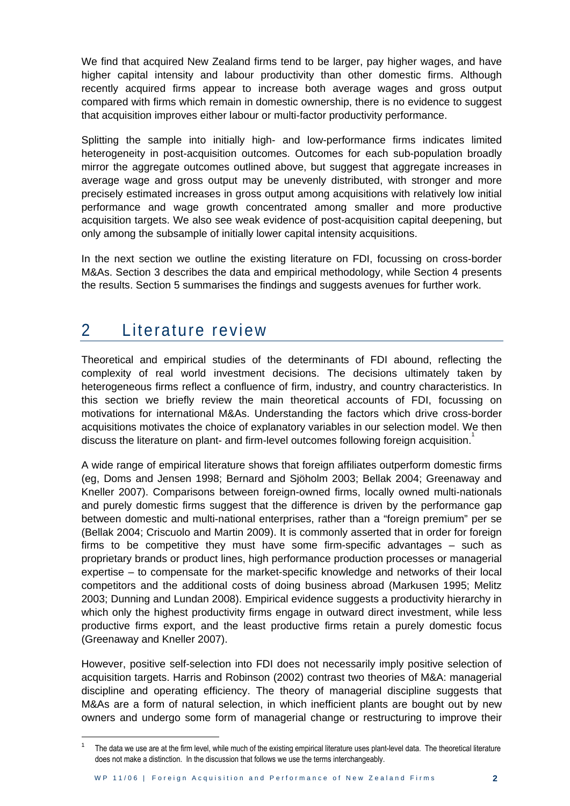<span id="page-6-0"></span>We find that acquired New Zealand firms tend to be larger, pay higher wages, and have higher capital intensity and labour productivity than other domestic firms. Although recently acquired firms appear to increase both average wages and gross output compared with firms which remain in domestic ownership, there is no evidence to suggest that acquisition improves either labour or multi-factor productivity performance.

Splitting the sample into initially high- and low-performance firms indicates limited heterogeneity in post-acquisition outcomes. Outcomes for each sub-population broadly mirror the aggregate outcomes outlined above, but suggest that aggregate increases in average wage and gross output may be unevenly distributed, with stronger and more precisely estimated increases in gross output among acquisitions with relatively low initial performance and wage growth concentrated among smaller and more productive acquisition targets. We also see weak evidence of post-acquisition capital deepening, but only among the subsample of initially lower capital intensity acquisitions.

In the next section we outline the existing literature on FDI, focussing on cross-border M&As. Section 3 describes the data and empirical methodology, while Section 4 presents the results. Section 5 summarises the findings and suggests avenues for further work.

### 2 Literature review

1

Theoretical and empirical studies of the determinants of FDI abound, reflecting the complexity of real world investment decisions. The decisions ultimately taken by heterogeneous firms reflect a confluence of firm, industry, and country characteristics. In this section we briefly review the main theoretical accounts of FDI, focussing on motivations for international M&As. Understanding the factors which drive cross-border acquisitions motivates the choice of explanatory variables in our selection model. We then discuss the literature on plant- and firm-level outcomes following foreign acquisition.

A wide range of empirical literature shows that foreign affiliates outperform domestic firms (eg, Doms and Jensen 1998; Bernard and Sjöholm 2003; Bellak 2004; Greenaway and Kneller 2007). Comparisons between foreign-owned firms, locally owned multi-nationals and purely domestic firms suggest that the difference is driven by the performance gap between domestic and multi-national enterprises, rather than a "foreign premium" per se (Bellak 2004; Criscuolo and Martin 2009). It is commonly asserted that in order for foreign firms to be competitive they must have some firm-specific advantages – such as proprietary brands or product lines, high performance production processes or managerial expertise – to compensate for the market-specific knowledge and networks of their local competitors and the additional costs of doing business abroad (Markusen 1995; Melitz 2003; Dunning and Lundan 2008). Empirical evidence suggests a productivity hierarchy in which only the highest productivity firms engage in outward direct investment, while less productive firms export, and the least productive firms retain a purely domestic focus (Greenaway and Kneller 2007).

However, positive self-selection into FDI does not necessarily imply positive selection of acquisition targets. Harris and Robinson (2002) contrast two theories of M&A: managerial discipline and operating efficiency. The theory of managerial discipline suggests that M&As are a form of natural selection, in which inefficient plants are bought out by new owners and undergo some form of managerial change or restructuring to improve their

<sup>1</sup> The data we use are at the firm level, while much of the existing empirical literature uses plant-level data. The theoretical literature does not make a distinction. In the discussion that follows we use the terms interchangeably.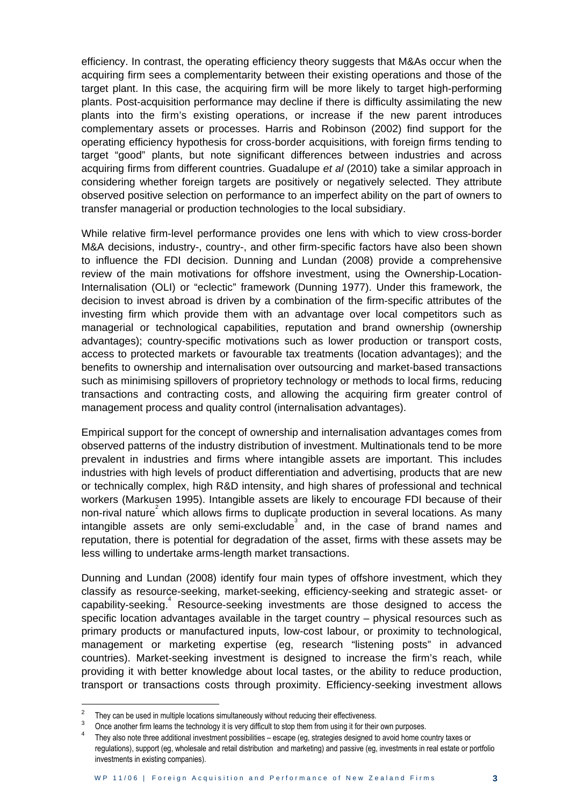efficiency. In contrast, the operating efficiency theory suggests that M&As occur when the acquiring firm sees a complementarity between their existing operations and those of the target plant. In this case, the acquiring firm will be more likely to target high-performing plants. Post-acquisition performance may decline if there is difficulty assimilating the new plants into the firm's existing operations, or increase if the new parent introduces complementary assets or processes. Harris and Robinson (2002) find support for the operating efficiency hypothesis for cross-border acquisitions, with foreign firms tending to target "good" plants, but note significant differences between industries and across acquiring firms from different countries. Guadalupe *et al* (2010) take a similar approach in considering whether foreign targets are positively or negatively selected. They attribute observed positive selection on performance to an imperfect ability on the part of owners to transfer managerial or production technologies to the local subsidiary.

While relative firm-level performance provides one lens with which to view cross-border M&A decisions, industry-, country-, and other firm-specific factors have also been shown to influence the FDI decision. Dunning and Lundan (2008) provide a comprehensive review of the main motivations for offshore investment, using the Ownership-Location-Internalisation (OLI) or "eclectic" framework (Dunning 1977). Under this framework, the decision to invest abroad is driven by a combination of the firm-specific attributes of the investing firm which provide them with an advantage over local competitors such as managerial or technological capabilities, reputation and brand ownership (ownership advantages); country-specific motivations such as lower production or transport costs, access to protected markets or favourable tax treatments (location advantages); and the benefits to ownership and internalisation over outsourcing and market-based transactions such as minimising spillovers of proprietory technology or methods to local firms, reducing transactions and contracting costs, and allowing the acquiring firm greater control of management process and quality control (internalisation advantages).

Empirical support for the concept of ownership and internalisation advantages comes from observed patterns of the industry distribution of investment. Multinationals tend to be more prevalent in industries and firms where intangible assets are important. This includes industries with high levels of product differentiation and advertising, products that are new or technically complex, high R&D intensity, and high shares of professional and technical workers (Markusen 1995). Intangible assets are likely to encourage FDI because of their non-rival nature<sup>2</sup> which allows firms to duplicate production in several locations. As many intangible assets are only semi-excludable and, in the case of brand names and reputation, there is potential for degradation of the asset, firms with these assets may be less willing to undertake arms-length market transactions.

Dunning and Lundan (2008) identify four main types of offshore investment, which they classify as resource-seeking, market-seeking, efficiency-seeking and strategic asset- or capability-seeking.<sup>4</sup> Resource-seeking investments are those designed to access the specific location advantages available in the target country – physical resources such as primary products or manufactured inputs, low-cost labour, or proximity to technological, management or marketing expertise (eg, research "listening posts" in advanced countries). Market-seeking investment is designed to increase the firm's reach, while providing it with better knowledge about local tastes, or the ability to reduce production, transport or transactions costs through proximity. Efficiency-seeking investment allows

<u>.</u>

<sup>2</sup> They can be used in multiple locations simultaneously without reducing their effectiveness.

<sup>3</sup> Once another firm learns the technology it is very difficult to stop them from using it for their own purposes.

<sup>4</sup> They also note three additional investment possibilities – escape (eg, strategies designed to avoid home country taxes or regulations), support (eg, wholesale and retail distribution and marketing) and passive (eg, investments in real estate or portfolio investments in existing companies).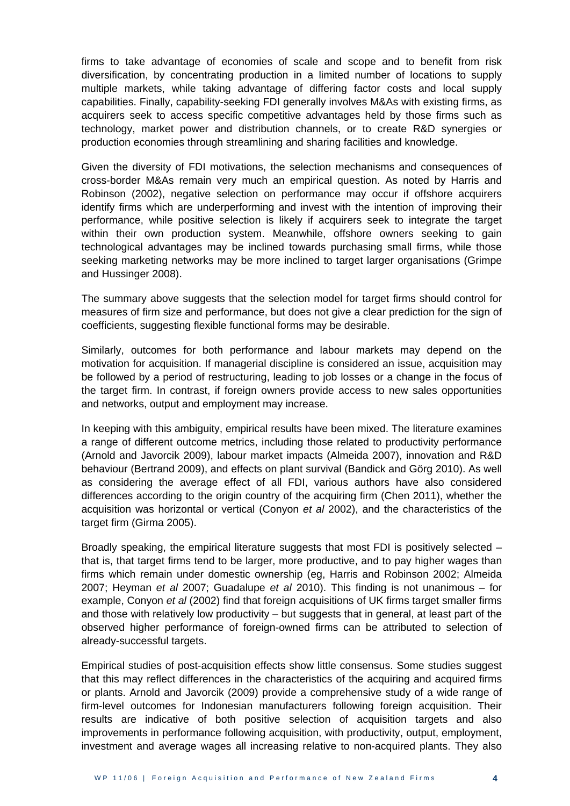firms to take advantage of economies of scale and scope and to benefit from risk diversification, by concentrating production in a limited number of locations to supply multiple markets, while taking advantage of differing factor costs and local supply capabilities. Finally, capability-seeking FDI generally involves M&As with existing firms, as acquirers seek to access specific competitive advantages held by those firms such as technology, market power and distribution channels, or to create R&D synergies or production economies through streamlining and sharing facilities and knowledge.

Given the diversity of FDI motivations, the selection mechanisms and consequences of cross-border M&As remain very much an empirical question. As noted by Harris and Robinson (2002), negative selection on performance may occur if offshore acquirers identify firms which are underperforming and invest with the intention of improving their performance, while positive selection is likely if acquirers seek to integrate the target within their own production system. Meanwhile, offshore owners seeking to gain technological advantages may be inclined towards purchasing small firms, while those seeking marketing networks may be more inclined to target larger organisations (Grimpe and Hussinger 2008).

The summary above suggests that the selection model for target firms should control for measures of firm size and performance, but does not give a clear prediction for the sign of coefficients, suggesting flexible functional forms may be desirable.

Similarly, outcomes for both performance and labour markets may depend on the motivation for acquisition. If managerial discipline is considered an issue, acquisition may be followed by a period of restructuring, leading to job losses or a change in the focus of the target firm. In contrast, if foreign owners provide access to new sales opportunities and networks, output and employment may increase.

In keeping with this ambiguity, empirical results have been mixed. The literature examines a range of different outcome metrics, including those related to productivity performance (Arnold and Javorcik 2009), labour market impacts (Almeida 2007), innovation and R&D behaviour (Bertrand 2009), and effects on plant survival (Bandick and Görg 2010). As well as considering the average effect of all FDI, various authors have also considered differences according to the origin country of the acquiring firm (Chen 2011), whether the acquisition was horizontal or vertical (Conyon *et al* 2002), and the characteristics of the target firm (Girma 2005).

Broadly speaking, the empirical literature suggests that most FDI is positively selected – that is, that target firms tend to be larger, more productive, and to pay higher wages than firms which remain under domestic ownership (eg, Harris and Robinson 2002; Almeida 2007; Heyman *et al* 2007; Guadalupe *et al* 2010). This finding is not unanimous – for example, Conyon *et al* (2002) find that foreign acquisitions of UK firms target smaller firms and those with relatively low productivity – but suggests that in general, at least part of the observed higher performance of foreign-owned firms can be attributed to selection of already-successful targets.

Empirical studies of post-acquisition effects show little consensus. Some studies suggest that this may reflect differences in the characteristics of the acquiring and acquired firms or plants. Arnold and Javorcik (2009) provide a comprehensive study of a wide range of firm-level outcomes for Indonesian manufacturers following foreign acquisition. Their results are indicative of both positive selection of acquisition targets and also improvements in performance following acquisition, with productivity, output, employment, investment and average wages all increasing relative to non-acquired plants. They also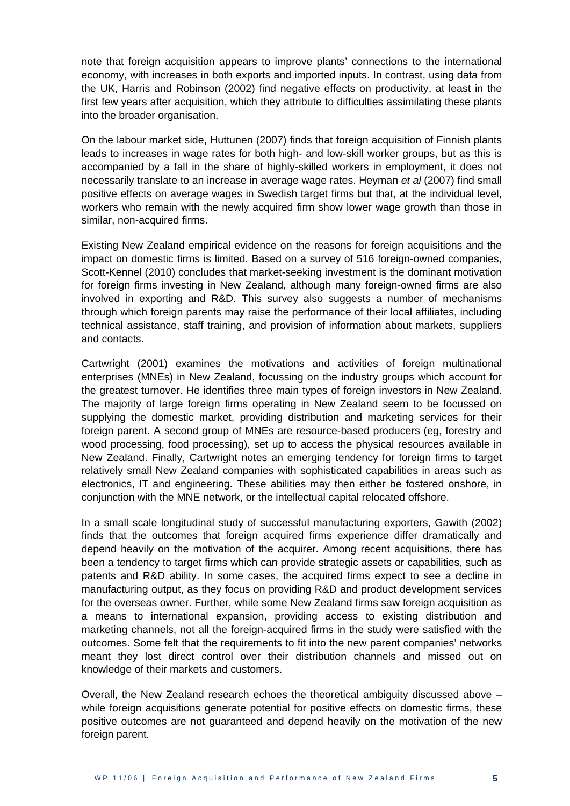note that foreign acquisition appears to improve plants' connections to the international economy, with increases in both exports and imported inputs. In contrast, using data from the UK, Harris and Robinson (2002) find negative effects on productivity, at least in the first few years after acquisition, which they attribute to difficulties assimilating these plants into the broader organisation.

On the labour market side, Huttunen (2007) finds that foreign acquisition of Finnish plants leads to increases in wage rates for both high- and low-skill worker groups, but as this is accompanied by a fall in the share of highly-skilled workers in employment, it does not necessarily translate to an increase in average wage rates. Heyman *et al* (2007) find small positive effects on average wages in Swedish target firms but that, at the individual level, workers who remain with the newly acquired firm show lower wage growth than those in similar, non-acquired firms.

Existing New Zealand empirical evidence on the reasons for foreign acquisitions and the impact on domestic firms is limited. Based on a survey of 516 foreign-owned companies, Scott-Kennel (2010) concludes that market-seeking investment is the dominant motivation for foreign firms investing in New Zealand, although many foreign-owned firms are also involved in exporting and R&D. This survey also suggests a number of mechanisms through which foreign parents may raise the performance of their local affiliates, including technical assistance, staff training, and provision of information about markets, suppliers and contacts.

Cartwright (2001) examines the motivations and activities of foreign multinational enterprises (MNEs) in New Zealand, focussing on the industry groups which account for the greatest turnover. He identifies three main types of foreign investors in New Zealand. The majority of large foreign firms operating in New Zealand seem to be focussed on supplying the domestic market, providing distribution and marketing services for their foreign parent. A second group of MNEs are resource-based producers (eg, forestry and wood processing, food processing), set up to access the physical resources available in New Zealand. Finally, Cartwright notes an emerging tendency for foreign firms to target relatively small New Zealand companies with sophisticated capabilities in areas such as electronics, IT and engineering. These abilities may then either be fostered onshore, in conjunction with the MNE network, or the intellectual capital relocated offshore.

In a small scale longitudinal study of successful manufacturing exporters, Gawith (2002) finds that the outcomes that foreign acquired firms experience differ dramatically and depend heavily on the motivation of the acquirer. Among recent acquisitions, there has been a tendency to target firms which can provide strategic assets or capabilities, such as patents and R&D ability. In some cases, the acquired firms expect to see a decline in manufacturing output, as they focus on providing R&D and product development services for the overseas owner. Further, while some New Zealand firms saw foreign acquisition as a means to international expansion, providing access to existing distribution and marketing channels, not all the foreign-acquired firms in the study were satisfied with the outcomes. Some felt that the requirements to fit into the new parent companies' networks meant they lost direct control over their distribution channels and missed out on knowledge of their markets and customers.

Overall, the New Zealand research echoes the theoretical ambiguity discussed above – while foreign acquisitions generate potential for positive effects on domestic firms, these positive outcomes are not guaranteed and depend heavily on the motivation of the new foreign parent.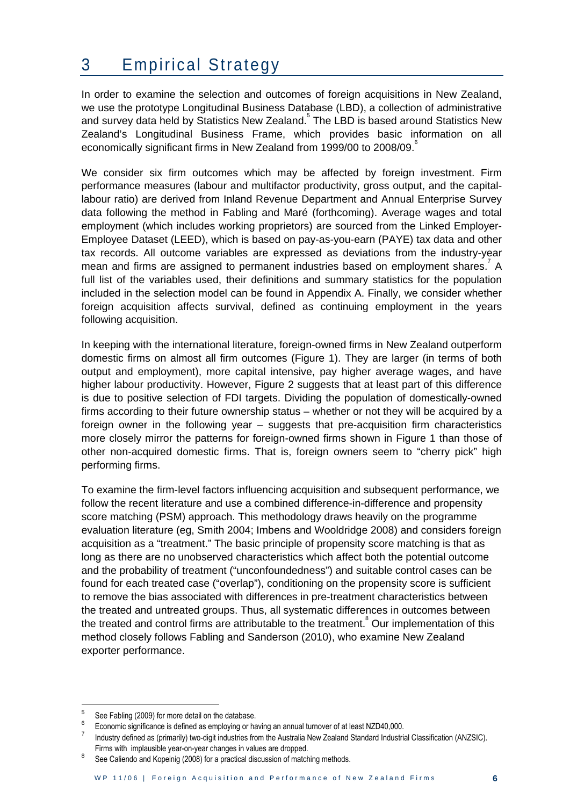## <span id="page-10-0"></span>3 Empirical Strategy

In order to examine the selection and outcomes of foreign acquisitions in New Zealand, we use the prototype Longitudinal Business Database (LBD), a collection of administrative and survey data held by Statistics New Zealand. The LBD is based around Statistics New Zealand's Longitudinal Business Frame, which provides basic information on all economically significant firms in New Zealand from 1999/00 to 2008/09.

We consider six firm outcomes which may be affected by foreign investment. Firm performance measures (labour and multifactor productivity, gross output, and the capitallabour ratio) are derived from Inland Revenue Department and Annual Enterprise Survey data following the method in Fabling and Maré (forthcoming). Average wages and total employment (which includes working proprietors) are sourced from the Linked Employer-Employee Dataset (LEED), which is based on pay-as-you-earn (PAYE) tax data and other tax records. All outcome variables are expressed as deviations from the industry-year mean and firms are assigned to permanent industries based on employment shares.<sup>7</sup> A full list of the variables used, their definitions and summary statistics for the population included in the selection model can be found in Appendix A. Finally, we consider whether foreign acquisition affects survival, defined as continuing employment in the years following acquisition.

In keeping with the international literature, foreign-owned firms in New Zealand outperform domestic firms on almost all firm outcomes (Figure 1). They are larger (in terms of both output and employment), more capital intensive, pay higher average wages, and have higher labour productivity. However, Figure 2 suggests that at least part of this difference is due to positive selection of FDI targets. Dividing the population of domestically-owned firms according to their future ownership status – whether or not they will be acquired by a foreign owner in the following year – suggests that pre-acquisition firm characteristics more closely mirror the patterns for foreign-owned firms shown in Figure 1 than those of other non-acquired domestic firms. That is, foreign owners seem to "cherry pick" high performing firms.

To examine the firm-level factors influencing acquisition and subsequent performance, we follow the recent literature and use a combined difference-in-difference and propensity score matching (PSM) approach. This methodology draws heavily on the programme evaluation literature (eg, Smith 2004; Imbens and Wooldridge 2008) and considers foreign acquisition as a "treatment." The basic principle of propensity score matching is that as long as there are no unobserved characteristics which affect both the potential outcome and the probability of treatment ("unconfoundedness") and suitable control cases can be found for each treated case ("overlap"), conditioning on the propensity score is sufficient to remove the bias associated with differences in pre-treatment characteristics between the treated and untreated groups. Thus, all systematic differences in outcomes between the treated and control firms are attributable to the treatment. $\degree$  Our implementation of this method closely follows Fabling and Sanderson (2010), who examine New Zealand exporter performance.

-

<sup>5</sup> See Fabling (2009) for more detail on the database.

<sup>6</sup> Economic significance is defined as employing or having an annual turnover of at least NZD40,000.

<sup>7</sup> Industry defined as (primarily) two-digit industries from the Australia New Zealand Standard Industrial Classification (ANZSIC). Firms with implausible year-on-year changes in values are dropped.

<sup>8</sup> See Caliendo and Kopeinig (2008) for a practical discussion of matching methods.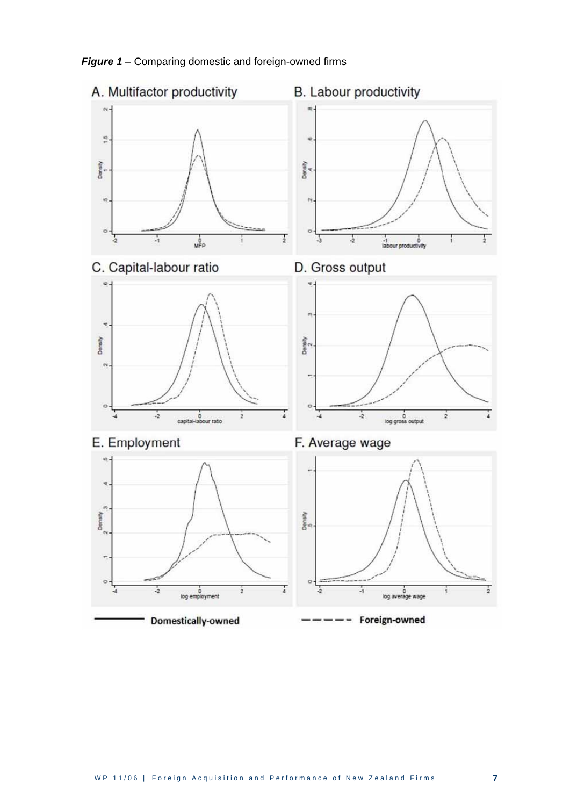

*Figure 1 –* Comparing domestic and foreign-owned firms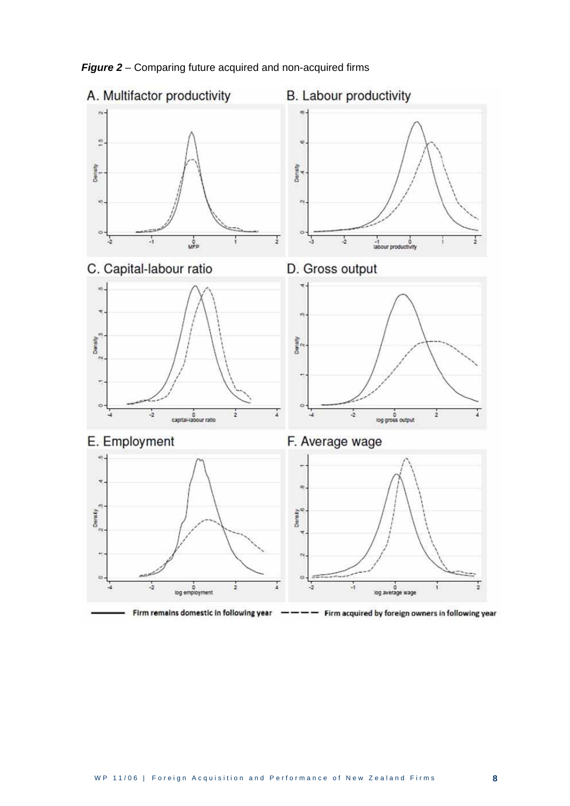

*Figure 2* – Comparing future acquired and non-acquired firms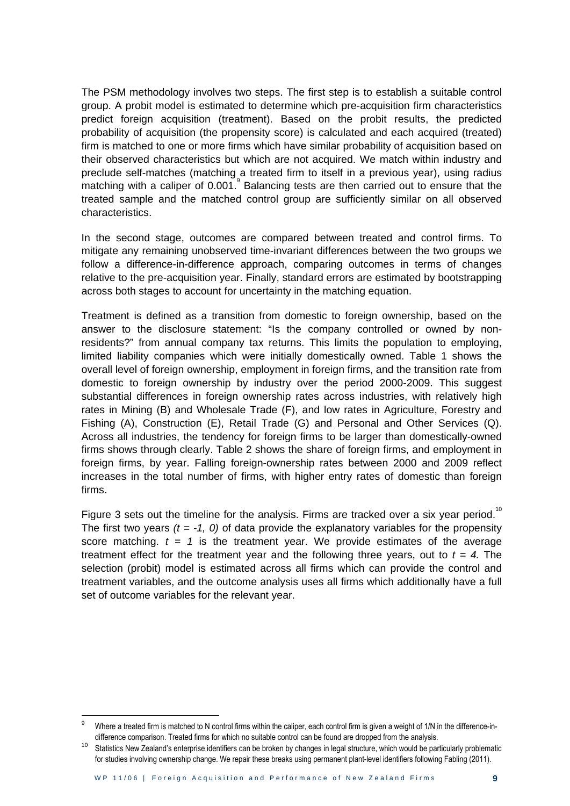The PSM methodology involves two steps. The first step is to establish a suitable control group. A probit model is estimated to determine which pre-acquisition firm characteristics predict foreign acquisition (treatment). Based on the probit results, the predicted probability of acquisition (the propensity score) is calculated and each acquired (treated) firm is matched to one or more firms which have similar probability of acquisition based on their observed characteristics but which are not acquired. We match within industry and preclude self-matches (matching a treated firm to itself in a previous year), using radius matching with a caliper of  $0.001$ . Balancing tests are then carried out to ensure that the treated sample and the matched control group are sufficiently similar on all observed characteristics.

In the second stage, outcomes are compared between treated and control firms. To mitigate any remaining unobserved time-invariant differences between the two groups we follow a difference-in-difference approach, comparing outcomes in terms of changes relative to the pre-acquisition year. Finally, standard errors are estimated by bootstrapping across both stages to account for uncertainty in the matching equation.

Treatment is defined as a transition from domestic to foreign ownership, based on the answer to the disclosure statement: "Is the company controlled or owned by nonresidents?" from annual company tax returns. This limits the population to employing, limited liability companies which were initially domestically owned. Table 1 shows the overall level of foreign ownership, employment in foreign firms, and the transition rate from domestic to foreign ownership by industry over the period 2000-2009. This suggest substantial differences in foreign ownership rates across industries, with relatively high rates in Mining (B) and Wholesale Trade (F), and low rates in Agriculture, Forestry and Fishing (A), Construction (E), Retail Trade (G) and Personal and Other Services (Q). Across all industries, the tendency for foreign firms to be larger than domestically-owned firms shows through clearly. Table 2 shows the share of foreign firms, and employment in foreign firms, by year. Falling foreign-ownership rates between 2000 and 2009 reflect increases in the total number of firms, with higher entry rates of domestic than foreign firms.

Figure 3 sets out the timeline for the analysis. Firms are tracked over a six year period.<sup>10</sup> The first two years  $(t = -1, 0)$  of data provide the explanatory variables for the propensity score matching.  $t = 1$  is the treatment year. We provide estimates of the average treatment effect for the treatment year and the following three years, out to  $t = 4$ . The selection (probit) model is estimated across all firms which can provide the control and treatment variables, and the outcome analysis uses all firms which additionally have a full set of outcome variables for the relevant year.

1

<sup>9</sup> Where a treated firm is matched to N control firms within the caliper, each control firm is given a weight of 1/N in the difference-indifference comparison. Treated firms for which no suitable control can be found are dropped from the analysis.

<sup>&</sup>lt;sup>10</sup> Statistics New Zealand's enterprise identifiers can be broken by changes in legal structure, which would be particularly problematic for studies involving ownership change. We repair these breaks using permanent plant-level identifiers following Fabling (2011).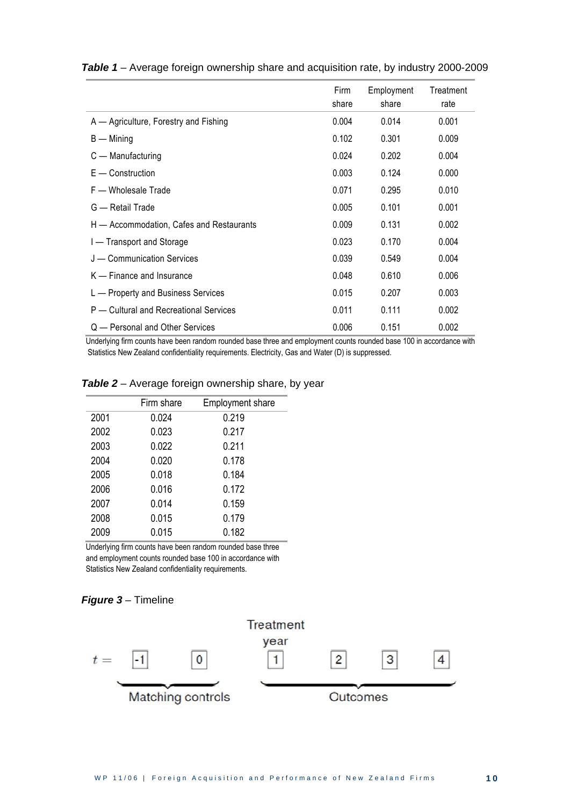|                                          | Firm<br>share | Employment<br>share | Treatment<br>rate |
|------------------------------------------|---------------|---------------------|-------------------|
| A — Agriculture, Forestry and Fishing    | 0.004         | 0.014               | 0.001             |
| $B -$ Mining                             | 0.102         | 0.301               | 0.009             |
| C — Manufacturing                        | 0.024         | 0.202               | 0.004             |
| $E -$ Construction                       | 0.003         | 0.124               | 0.000             |
| F - Wholesale Trade                      | 0.071         | 0.295               | 0.010             |
| G — Retail Trade                         | 0.005         | 0.101               | 0.001             |
| H — Accommodation, Cafes and Restaurants | 0.009         | 0.131               | 0.002             |
| I - Transport and Storage                | 0.023         | 0.170               | 0.004             |
| J - Communication Services               | 0.039         | 0.549               | 0.004             |
| $K -$ Finance and Insurance              | 0.048         | 0.610               | 0.006             |
| L - Property and Business Services       | 0.015         | 0.207               | 0.003             |
| P – Cultural and Recreational Services   | 0.011         | 0.111               | 0.002             |
| Q — Personal and Other Services          | 0.006         | 0.151               | 0.002             |

#### *Table 1* – Average foreign ownership share and acquisition rate, by industry 2000-2009

Underlying firm counts have been random rounded base three and employment counts rounded base 100 in accordance with Statistics New Zealand confidentiality requirements. Electricity, Gas and Water (D) is suppressed.

|      | Firm share | <b>Employment share</b> |
|------|------------|-------------------------|
| 2001 | 0.024      | 0.219                   |
| 2002 | 0.023      | 0.217                   |
| 2003 | 0.022      | 0.211                   |
| 2004 | 0.020      | 0.178                   |
| 2005 | 0.018      | 0.184                   |
| 2006 | 0.016      | 0.172                   |
| 2007 | 0.014      | 0.159                   |
| 2008 | 0.015      | 0.179                   |
| 2009 | 0.015      | 0.182                   |

#### *Table 2* – Average foreign ownership share, by year

Underlying firm counts have been random rounded base three and employment counts rounded base 100 in accordance with Statistics New Zealand confidentiality requirements.



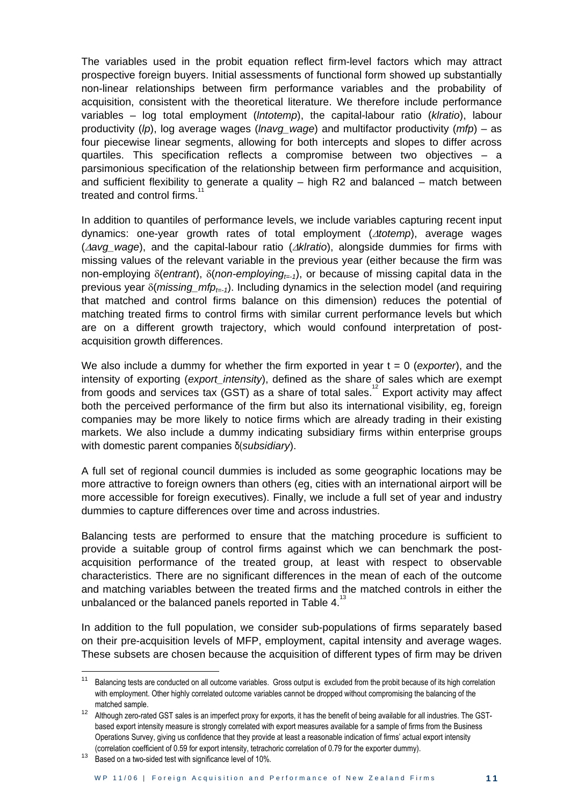The variables used in the probit equation reflect firm-level factors which may attract prospective foreign buyers. Initial assessments of functional form showed up substantially non-linear relationships between firm performance variables and the probability of acquisition, consistent with the theoretical literature. We therefore include performance variables – log total employment (*lntotemp*), the capital-labour ratio (*klratio*), labour productivity (*lp*), log average wages (*lnavg\_wage*) and multifactor productivity (*mfp*) – as four piecewise linear segments, allowing for both intercepts and slopes to differ across quartiles. This specification reflects a compromise between two objectives – a parsimonious specification of the relationship between firm performance and acquisition, and sufficient flexibility to generate a quality – high R2 and balanced – match between treated and control firms.<sup>1</sup>

In addition to quantiles of performance levels, we include variables capturing recent input dynamics: one-year growth rates of total employment (*totemp*), average wages (*avg\_wage*), and the capital-labour ratio (*klratio*), alongside dummies for firms with missing values of the relevant variable in the previous year (either because the firm was non-employing  $\delta$ (*entrant*),  $\delta$ (*non-employing<sub>t=-1</sub>*), or because of missing capital data in the previous year  $\delta(m)$ *issing mfp<sub>t=-1</sub>*). Including dynamics in the selection model (and requiring that matched and control firms balance on this dimension) reduces the potential of matching treated firms to control firms with similar current performance levels but which are on a different growth trajectory, which would confound interpretation of postacquisition growth differences.

We also include a dummy for whether the firm exported in year t = 0 (*exporter*), and the intensity of exporting (*export\_intensity*), defined as the share of sales which are exempt from goods and services tax (GST) as a share of total sales.<sup>12</sup> Export activity may affect both the perceived performance of the firm but also its international visibility, eg, foreign companies may be more likely to notice firms which are already trading in their existing markets. We also include a dummy indicating subsidiary firms within enterprise groups with domestic parent companies δ(*subsidiary*).

A full set of regional council dummies is included as some geographic locations may be more attractive to foreign owners than others (eg, cities with an international airport will be more accessible for foreign executives). Finally, we include a full set of year and industry dummies to capture differences over time and across industries.

Balancing tests are performed to ensure that the matching procedure is sufficient to provide a suitable group of control firms against which we can benchmark the postacquisition performance of the treated group, at least with respect to observable characteristics. There are no significant differences in the mean of each of the outcome and matching variables between the treated firms and the matched controls in either the unbalanced or the balanced panels reported in Table 4. $13$ 

In addition to the full population, we consider sub-populations of firms separately based on their pre-acquisition levels of MFP, employment, capital intensity and average wages. These subsets are chosen because the acquisition of different types of firm may be driven

.

<sup>&</sup>lt;sup>11</sup> Balancing tests are conducted on all outcome variables. Gross output is excluded from the probit because of its high correlation with employment. Other highly correlated outcome variables cannot be dropped without compromising the balancing of the matched sample.

<sup>12</sup> Although zero-rated GST sales is an imperfect proxy for exports, it has the benefit of being available for all industries. The GSTbased export intensity measure is strongly correlated with export measures available for a sample of firms from the Business Operations Survey, giving us confidence that they provide at least a reasonable indication of firms' actual export intensity (correlation coefficient of 0.59 for export intensity, tetrachoric correlation of 0.79 for the exporter dummy).

<sup>&</sup>lt;sup>13</sup> Based on a two-sided test with significance level of 10%.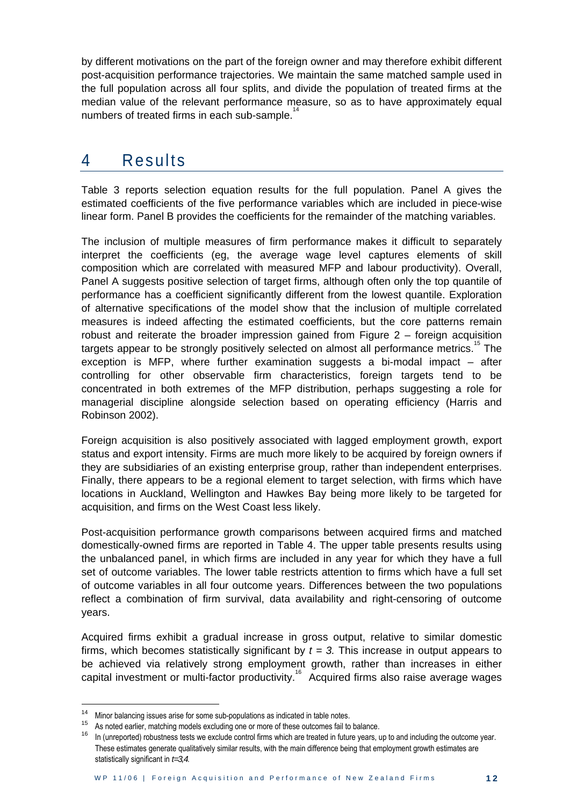<span id="page-16-0"></span>by different motivations on the part of the foreign owner and may therefore exhibit different post-acquisition performance trajectories. We maintain the same matched sample used in the full population across all four splits, and divide the population of treated firms at the median value of the relevant performance measure, so as to have approximately equal numbers of treated firms in each sub-sample. $14$ 

### 4 Results

Table 3 reports selection equation results for the full population. Panel A gives the estimated coefficients of the five performance variables which are included in piece-wise linear form. Panel B provides the coefficients for the remainder of the matching variables.

The inclusion of multiple measures of firm performance makes it difficult to separately interpret the coefficients (eg, the average wage level captures elements of skill composition which are correlated with measured MFP and labour productivity). Overall, Panel A suggests positive selection of target firms, although often only the top quantile of performance has a coefficient significantly different from the lowest quantile. Exploration of alternative specifications of the model show that the inclusion of multiple correlated measures is indeed affecting the estimated coefficients, but the core patterns remain robust and reiterate the broader impression gained from Figure 2 – foreign acquisition targets appear to be strongly positively selected on almost all performance metrics.<sup>16</sup> The exception is MFP, where further examination suggests a bi-modal impact – after controlling for other observable firm characteristics, foreign targets tend to be concentrated in both extremes of the MFP distribution, perhaps suggesting a role for managerial discipline alongside selection based on operating efficiency (Harris and Robinson 2002).

Foreign acquisition is also positively associated with lagged employment growth, export status and export intensity. Firms are much more likely to be acquired by foreign owners if they are subsidiaries of an existing enterprise group, rather than independent enterprises. Finally, there appears to be a regional element to target selection, with firms which have locations in Auckland, Wellington and Hawkes Bay being more likely to be targeted for acquisition, and firms on the West Coast less likely.

Post-acquisition performance growth comparisons between acquired firms and matched domestically-owned firms are reported in Table 4. The upper table presents results using the unbalanced panel, in which firms are included in any year for which they have a full set of outcome variables. The lower table restricts attention to firms which have a full set of outcome variables in all four outcome years. Differences between the two populations reflect a combination of firm survival, data availability and right-censoring of outcome years.

Acquired firms exhibit a gradual increase in gross output, relative to similar domestic firms, which becomes statistically significant by  $t = 3$ . This increase in output appears to be achieved via relatively strong employment growth, rather than increases in either capital investment or multi-factor productivity.<sup>16</sup> Acquired firms also raise average wages

1

<sup>&</sup>lt;sup>14</sup> Minor balancing issues arise for some sub-populations as indicated in table notes.

<sup>&</sup>lt;sup>15</sup> As noted earlier, matching models excluding one or more of these outcomes fail to balance.

<sup>&</sup>lt;sup>16</sup> In (unreported) robustness tests we exclude control firms which are treated in future years, up to and including the outcome year. These estimates generate qualitatively similar results, with the main difference being that employment growth estimates are statistically significant in *t=3,4*.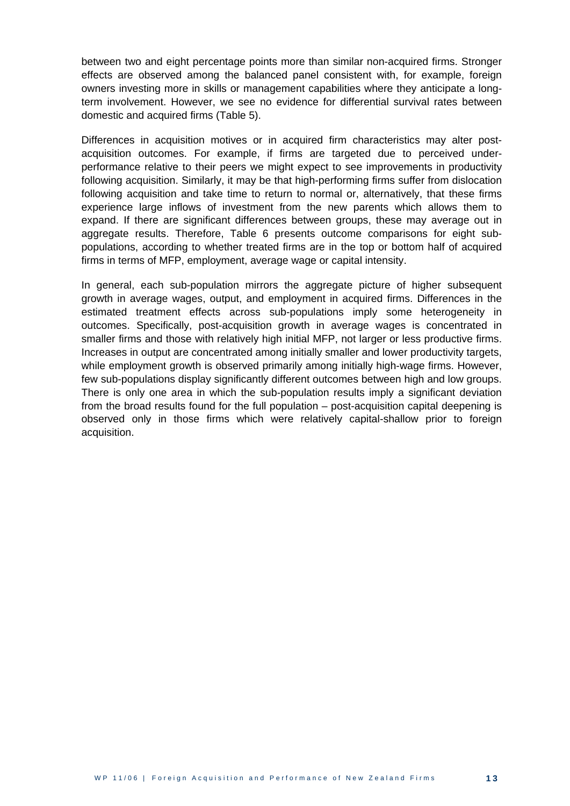between two and eight percentage points more than similar non-acquired firms. Stronger effects are observed among the balanced panel consistent with, for example, foreign owners investing more in skills or management capabilities where they anticipate a longterm involvement. However, we see no evidence for differential survival rates between domestic and acquired firms (Table 5).

Differences in acquisition motives or in acquired firm characteristics may alter postacquisition outcomes. For example, if firms are targeted due to perceived underperformance relative to their peers we might expect to see improvements in productivity following acquisition. Similarly, it may be that high-performing firms suffer from dislocation following acquisition and take time to return to normal or, alternatively, that these firms experience large inflows of investment from the new parents which allows them to expand. If there are significant differences between groups, these may average out in aggregate results. Therefore, Table 6 presents outcome comparisons for eight subpopulations, according to whether treated firms are in the top or bottom half of acquired firms in terms of MFP, employment, average wage or capital intensity.

In general, each sub-population mirrors the aggregate picture of higher subsequent growth in average wages, output, and employment in acquired firms. Differences in the estimated treatment effects across sub-populations imply some heterogeneity in outcomes. Specifically, post-acquisition growth in average wages is concentrated in smaller firms and those with relatively high initial MFP, not larger or less productive firms. Increases in output are concentrated among initially smaller and lower productivity targets, while employment growth is observed primarily among initially high-wage firms. However, few sub-populations display significantly different outcomes between high and low groups. There is only one area in which the sub-population results imply a significant deviation from the broad results found for the full population – post-acquisition capital deepening is observed only in those firms which were relatively capital-shallow prior to foreign acquisition.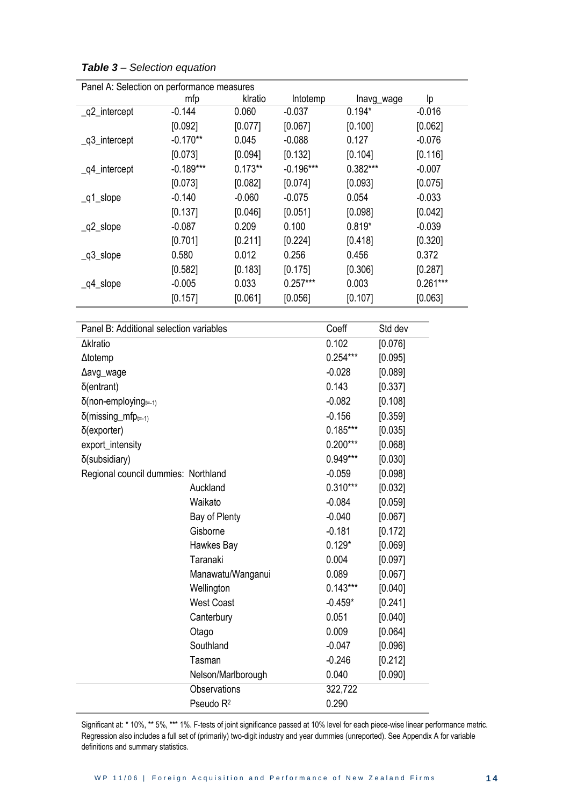| Panel A: Selection on performance measures |             |           |             |            |            |  |  |
|--------------------------------------------|-------------|-----------|-------------|------------|------------|--|--|
|                                            | mfp         | klratio   | Intotemp    | lnavg_wage | Iр         |  |  |
| _q2_intercept                              | $-0.144$    | 0.060     | $-0.037$    | $0.194*$   | $-0.016$   |  |  |
|                                            | [0.092]     | [0.077]   | [0.067]     | [0.100]    | [0.062]    |  |  |
| $_q3$ _intercept                           | $-0.170**$  | 0.045     | $-0.088$    | 0.127      | $-0.076$   |  |  |
|                                            | [0.073]     | [0.094]   | [0.132]     | [0.104]    | [0.116]    |  |  |
| $\_q4$ _intercept                          | $-0.189***$ | $0.173**$ | $-0.196***$ | $0.382***$ | $-0.007$   |  |  |
|                                            | [0.073]     | [0.082]   | [0.074]     | [0.093]    | [0.075]    |  |  |
| $q1$ _slope                                | $-0.140$    | $-0.060$  | $-0.075$    | 0.054      | $-0.033$   |  |  |
|                                            | [0.137]     | [0.046]   | [0.051]     | [0.098]    | [0.042]    |  |  |
| $q2$ _slope                                | $-0.087$    | 0.209     | 0.100       | $0.819*$   | $-0.039$   |  |  |
|                                            | [0.701]     | [0.211]   | [0.224]     | [0.418]    | [0.320]    |  |  |
| $q3$ _slope                                | 0.580       | 0.012     | 0.256       | 0.456      | 0.372      |  |  |
|                                            | [0.582]     | [0.183]   | [0.175]     | [0.306]    | [0.287]    |  |  |
| $_{q4}$ slope                              | $-0.005$    | 0.033     | $0.257***$  | 0.003      | $0.261***$ |  |  |
|                                            | [0.157]     | [0.061]   | [0.056]     | [0.107]    | [0.063]    |  |  |

*Table 3 – Selection equation*

| Panel B: Additional selection variables | Coeff                 | Std dev    |         |
|-----------------------------------------|-----------------------|------------|---------|
| <b>∆klratio</b>                         | 0.102                 | [0.076]    |         |
| $\Delta$ totemp                         |                       | $0.254***$ | [0.095] |
| $\Delta$ avg_wage                       |                       | $-0.028$   | [0.089] |
| $\delta$ (entrant)                      |                       | 0.143      | [0.337] |
| $\delta$ (non-employing $_{t=1}$ )      |                       | $-0.082$   | [0.108] |
| $\delta$ (missing_mfp <sub>t=-1)</sub>  |                       | $-0.156$   | [0.359] |
| $\delta$ (exporter)                     |                       | $0.185***$ | [0.035] |
| export_intensity                        |                       | $0.200***$ | [0.068] |
| δ(subsidiary)                           |                       | 0.949***   | [0.030] |
| Regional council dummies: Northland     |                       | $-0.059$   | [0.098] |
|                                         | Auckland              | $0.310***$ | [0.032] |
|                                         | Waikato               | $-0.084$   | [0.059] |
|                                         | Bay of Plenty         | $-0.040$   | [0.067] |
|                                         | Gisborne              | $-0.181$   | [0.172] |
|                                         | Hawkes Bay            | $0.129*$   | [0.069] |
|                                         | Taranaki              | 0.004      | [0.097] |
|                                         | Manawatu/Wanganui     | 0.089      | [0.067] |
|                                         | Wellington            | $0.143***$ | [0.040] |
|                                         | <b>West Coast</b>     | $-0.459*$  | [0.241] |
|                                         | Canterbury            | 0.051      | [0.040] |
|                                         | Otago                 | 0.009      | [0.064] |
|                                         | Southland             | $-0.047$   | [0.096] |
|                                         | Tasman                | $-0.246$   | [0.212] |
|                                         | Nelson/Marlborough    | 0.040      | [0.090] |
|                                         | Observations          | 322,722    |         |
|                                         | Pseudo R <sup>2</sup> | 0.290      |         |

 $\overline{\mathsf{P}}$ anel A: Selection on perfo

Significant at: \* 10%, \*\* 5%, \*\*\* 1%. F-tests of joint significance passed at 10% level for each piece-wise linear performance metric. Regression also includes a full set of (primarily) two-digit industry and year dummies (unreported). See Appendix A for variable definitions and summary statistics.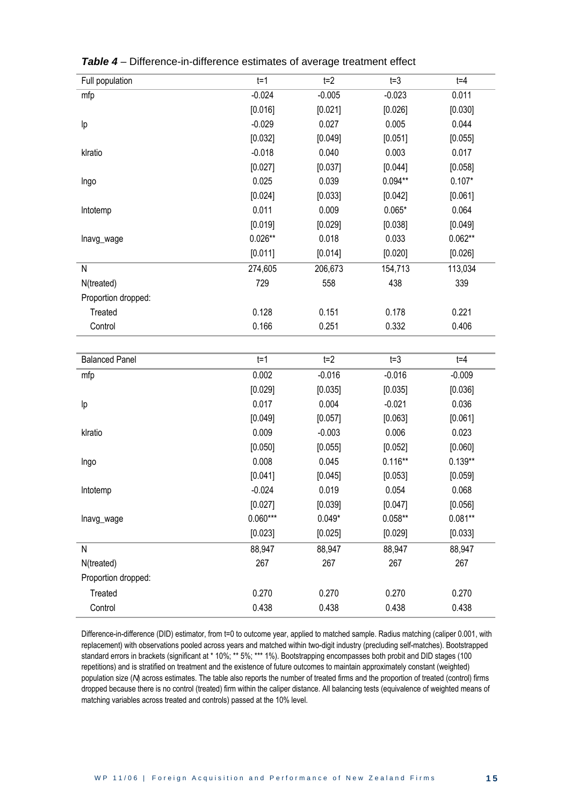| Full population       | $t=1$      | $t=2$    | $t = 3$   | $t = 4$   |
|-----------------------|------------|----------|-----------|-----------|
| mfp                   | $-0.024$   | $-0.005$ | $-0.023$  | 0.011     |
|                       | [0.016]    | [0.021]  | [0.026]   | [0.030]   |
| Ιp                    | $-0.029$   | 0.027    | 0.005     | 0.044     |
|                       | [0.032]    | [0.049]  | [0.051]   | [0.055]   |
| klratio               | $-0.018$   | 0.040    | 0.003     | 0.017     |
|                       | [0.027]    | [0.037]  | [0.044]   | [0.058]   |
| Ingo                  | 0.025      | 0.039    | $0.094**$ | $0.107*$  |
|                       | [0.024]    | [0.033]  | [0.042]   | [0.061]   |
| Intotemp              | 0.011      | 0.009    | $0.065*$  | 0.064     |
|                       | [0.019]    | [0.029]  | [0.038]   | [0.049]   |
| lnavg_wage            | $0.026**$  | 0.018    | 0.033     | $0.062**$ |
|                       | [0.011]    | [0.014]  | [0.020]   | [0.026]   |
| ${\sf N}$             | 274,605    | 206,673  | 154,713   | 113,034   |
| N(treated)            | 729        | 558      | 438       | 339       |
| Proportion dropped:   |            |          |           |           |
| Treated               | 0.128      | 0.151    | 0.178     | 0.221     |
| Control               | 0.166      | 0.251    | 0.332     | 0.406     |
|                       |            |          |           |           |
| <b>Balanced Panel</b> | $t=1$      | $t=2$    | $t = 3$   | $t = 4$   |
| mfp                   | 0.002      | $-0.016$ | $-0.016$  | $-0.009$  |
|                       | [0.029]    | [0.035]  | [0.035]   | [0.036]   |
| Ιp                    | 0.017      | 0.004    | $-0.021$  | 0.036     |
|                       | [0.049]    | [0.057]  | [0.063]   | [0.061]   |
| klratio               | 0.009      | $-0.003$ | 0.006     | 0.023     |
|                       | [0.050]    | [0.055]  | [0.052]   | [0.060]   |
| Ingo                  | 0.008      | 0.045    | $0.116**$ | $0.139**$ |
|                       | [0.041]    | [0.045]  | [0.053]   | [0.059]   |
| Intotemp              | $-0.024$   | 0.019    | 0.054     | 0.068     |
|                       | [0.027]    | [0.039]  | [0.047]   | [0.056]   |
| Inavg_wage            | $0.060***$ | $0.049*$ | $0.058**$ | $0.081**$ |
|                       | [0.023]    | [0.025]  | [0.029]   | [0.033]   |
| N                     | 88,947     | 88,947   | 88,947    | 88,947    |
| N(treated)            | 267        | 267      | 267       | 267       |
| Proportion dropped:   |            |          |           |           |
| Treated               | 0.270      | 0.270    | 0.270     | 0.270     |
| Control               | 0.438      | 0.438    | 0.438     | 0.438     |

*Table 4* – Difference-in-difference estimates of average treatment effect

Difference-in-difference (DID) estimator, from t=0 to outcome year, applied to matched sample. Radius matching (caliper 0.001, with replacement) with observations pooled across years and matched within two-digit industry (precluding self-matches). Bootstrapped standard errors in brackets (significant at \* 10%; \*\* 5%; \*\*\* 1%). Bootstrapping encompasses both probit and DID stages (100 repetitions) and is stratified on treatment and the existence of future outcomes to maintain approximately constant (weighted) population size (*N*) across estimates. The table also reports the number of treated firms and the proportion of treated (control) firms dropped because there is no control (treated) firm within the caliper distance. All balancing tests (equivalence of weighted means of matching variables across treated and controls) passed at the 10% level.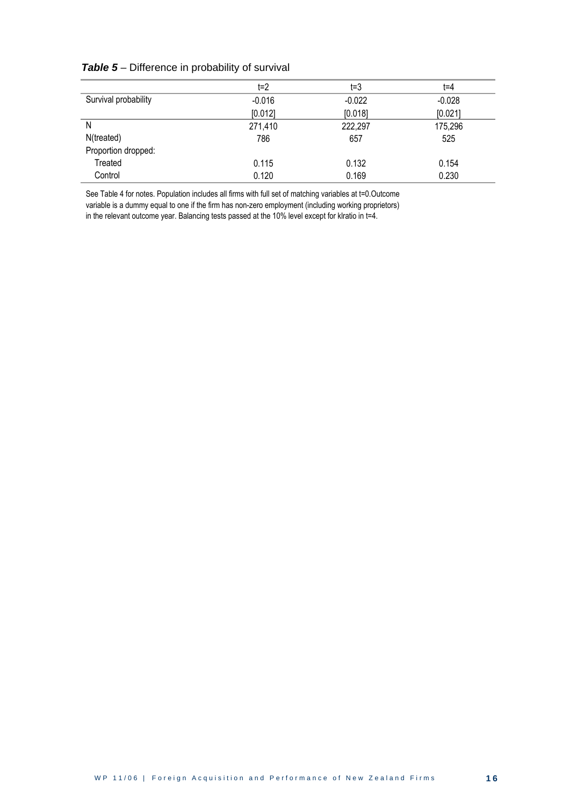|                      | t=2      | t=3      | $t = 4$  |
|----------------------|----------|----------|----------|
| Survival probability | $-0.016$ | $-0.022$ | $-0.028$ |
|                      | [0.012]  | [0.018]  | [0.021]  |
| N                    | 271,410  | 222,297  | 175,296  |
| N(treated)           | 786      | 657      | 525      |
| Proportion dropped:  |          |          |          |
| Treated              | 0.115    | 0.132    | 0.154    |
| Control              | 0.120    | 0.169    | 0.230    |

#### **Table 5** – Difference in probability of survival

See Table 4 for notes. Population includes all firms with full set of matching variables at t=0.Outcome variable is a dummy equal to one if the firm has non-zero employment (including working proprietors) in the relevant outcome year. Balancing tests passed at the 10% level except for klratio in t=4.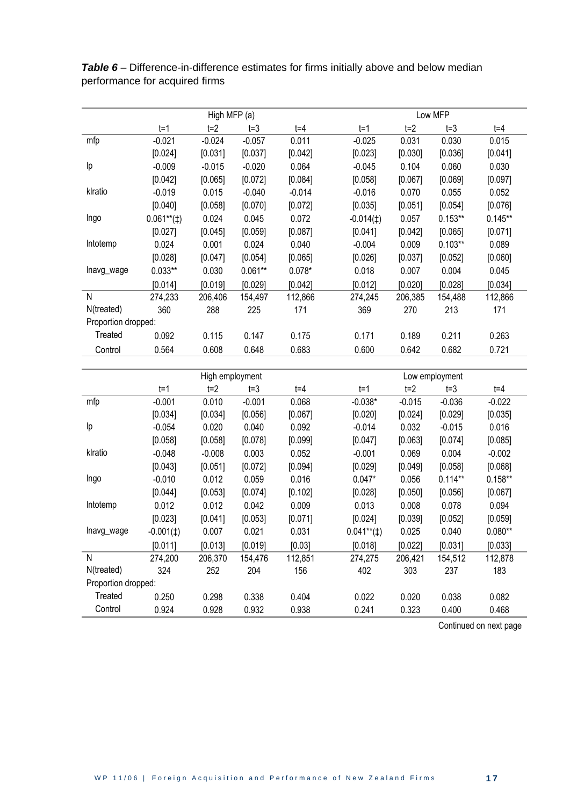|                     |                 | High MFP (a)   |                |                |                |                | Low MFP        |                |  |  |  |  |  |
|---------------------|-----------------|----------------|----------------|----------------|----------------|----------------|----------------|----------------|--|--|--|--|--|
|                     | $t=1$           | $t=2$          | $t = 3$        | $t = 4$        | $t=1$          | $t=2$          | $t = 3$        | $t = 4$        |  |  |  |  |  |
| mfp                 | $-0.021$        | $-0.024$       | $-0.057$       | 0.011          | $-0.025$       | 0.031          | 0.030          | 0.015          |  |  |  |  |  |
|                     | [0.024]         | [0.031]        | [0.037]        | [0.042]        | [0.023]        | [0.030]        | [0.036]        | [0.041]        |  |  |  |  |  |
| Ιp                  | $-0.009$        | $-0.015$       | $-0.020$       | 0.064          | $-0.045$       | 0.104          | 0.060          | 0.030          |  |  |  |  |  |
|                     | [0.042]         | [0.065]        | [0.072]        | [0.084]        | [0.058]        | [0.067]        | [0.069]        | [0.097]        |  |  |  |  |  |
| klratio             | $-0.019$        | 0.015          | $-0.040$       | $-0.014$       | $-0.016$       | 0.070          | 0.055          | 0.052          |  |  |  |  |  |
|                     | [0.040]         | [0.058]        | [0.070]        | [0.072]        | [0.035]        | [0.051]        | [0.054]        | [0.076]        |  |  |  |  |  |
| Ingo                | $0.061**$ (#)   | 0.024          | 0.045          | 0.072          | $-0.014(t)$    | 0.057          | $0.153**$      | $0.145**$      |  |  |  |  |  |
|                     | [0.027]         | [0.045]        | [0.059]        | [0.087]        | [0.041]        | [0.042]        | [0.065]        | [0.071]        |  |  |  |  |  |
| Intotemp            | 0.024           | 0.001          | 0.024          | 0.040          | $-0.004$       | 0.009          | $0.103**$      | 0.089          |  |  |  |  |  |
|                     | [0.028]         | [0.047]        | [0.054]        | [0.065]        | [0.026]        | [0.037]        | [0.052]        | [0.060]        |  |  |  |  |  |
| lnavg_wage          | $0.033**$       | 0.030          | $0.061**$      | $0.078*$       | 0.018          | 0.007          | 0.004          | 0.045          |  |  |  |  |  |
|                     | [0.014]         | [0.019]        | [0.029]        | [0.042]        | [0.012]        | [0.020]        | [0.028]        | [0.034]        |  |  |  |  |  |
| N                   | 274,233         | 206,406        | 154,497        | 112,866        | 274,245        | 206,385        | 154,488        | 112,866        |  |  |  |  |  |
| N(treated)          | 360             | 288            | 225            | 171            | 369            | 270            | 213            | 171            |  |  |  |  |  |
| Proportion dropped: |                 |                |                |                |                |                |                |                |  |  |  |  |  |
| Treated             | 0.092           | 0.115          | 0.147          | 0.175          | 0.171          | 0.189          | 0.211          | 0.263          |  |  |  |  |  |
| Control             | 0.564           | 0.608          | 0.648          | 0.683          | 0.600          | 0.642          | 0.682          | 0.721          |  |  |  |  |  |
|                     |                 |                |                |                |                |                |                |                |  |  |  |  |  |
|                     | High employment |                |                |                |                |                |                |                |  |  |  |  |  |
|                     |                 |                |                |                |                |                | Low employment |                |  |  |  |  |  |
|                     | $t=1$           | $t=2$          | $t = 3$        | $t = 4$        | $t=1$          | $t=2$          | $t = 3$        | $t = 4$        |  |  |  |  |  |
| mfp                 | $-0.001$        | 0.010          | $-0.001$       | 0.068          | $-0.038*$      | $-0.015$       | $-0.036$       | $-0.022$       |  |  |  |  |  |
|                     | [0.034]         | [0.034]        | [0.056]        | [0.067]        | [0.020]        | [0.024]        | [0.029]        | [0.035]        |  |  |  |  |  |
| Ιp                  | $-0.054$        | 0.020          | 0.040          | 0.092          | $-0.014$       | 0.032          | $-0.015$       | 0.016          |  |  |  |  |  |
|                     | [0.058]         | [0.058]        | [0.078]        | [0.099]        | [0.047]        | [0.063]        | [0.074]        | [0.085]        |  |  |  |  |  |
| klratio             | $-0.048$        | $-0.008$       | 0.003          | 0.052          | $-0.001$       | 0.069          | 0.004          | $-0.002$       |  |  |  |  |  |
|                     | [0.043]         | [0.051]        | [0.072]        | [0.094]        | [0.029]        | [0.049]        | [0.058]        | [0.068]        |  |  |  |  |  |
| Ingo                | $-0.010$        | 0.012          | 0.059          | 0.016          | $0.047*$       | 0.056          | $0.114**$      | $0.158**$      |  |  |  |  |  |
|                     | [0.044]         | [0.053]        | [0.074]        | [0.102]        | [0.028]        | [0.050]        | [0.056]        | [0.067]        |  |  |  |  |  |
| Intotemp            | 0.012           | 0.012          | 0.042          | 0.009          | 0.013          | 0.008          | 0.078          | 0.094          |  |  |  |  |  |
|                     | [0.023]         | [0.041]        | [0.053]        | [0.071]        | [0.024]        | [0.039]        | [0.052]        | [0.059]        |  |  |  |  |  |
| lnavg_wage          | $-0.001(1)$     | 0.007          | 0.021          | 0.031          | $0.041**$ (‡)  | 0.025          | 0.040          | $0.080**$      |  |  |  |  |  |
|                     | [0.011]         | [0.013]        | [0.019]        | [0.03]         | [0.018]        | [0.022]        | [0.031]        | [0.033]        |  |  |  |  |  |
| ${\sf N}$           | 274,200         | 206,370        | 154,476        | 112,851        | 274,275        | 206,421        | 154,512        | 112,878        |  |  |  |  |  |
| N(treated)          | 324             | 252            | 204            | 156            | 402            | 303            | 237            | 183            |  |  |  |  |  |
| Proportion dropped: |                 |                |                |                |                |                |                |                |  |  |  |  |  |
| Treated<br>Control  | 0.250<br>0.924  | 0.298<br>0.928 | 0.338<br>0.932 | 0.404<br>0.938 | 0.022<br>0.241 | 0.020<br>0.323 | 0.038<br>0.400 | 0.082<br>0.468 |  |  |  |  |  |

*Table 6* – Difference-in-difference estimates for firms initially above and below median performance for acquired firms

Continued on next page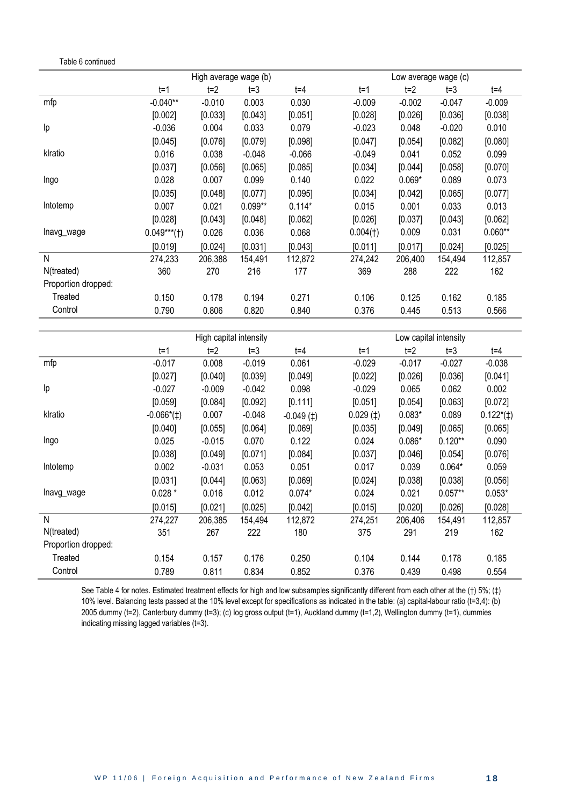Table 6 continued

|                     | High average wage (b) |          |           |          |          | Low average wage (c) |          |           |
|---------------------|-----------------------|----------|-----------|----------|----------|----------------------|----------|-----------|
|                     | $t=1$                 | $t=2$    | $t = 3$   | $t = 4$  | $t=1$    | $t=2$                | $t = 3$  | t=4       |
| mfp                 | $-0.040**$            | $-0.010$ | 0.003     | 0.030    | $-0.009$ | $-0.002$             | $-0.047$ | $-0.009$  |
|                     | [0.002]               | [0.033]  | [0.043]   | [0.051]  | [0.028]  | [0.026]              | [0.036]  | [0.038]   |
| Ιp                  | $-0.036$              | 0.004    | 0.033     | 0.079    | $-0.023$ | 0.048                | $-0.020$ | 0.010     |
|                     | [0.045]               | [0.076]  | [0.079]   | [0.098]  | [0.047]  | [0.054]              | [0.082]  | [0.080]   |
| klratio             | 0.016                 | 0.038    | $-0.048$  | $-0.066$ | $-0.049$ | 0.041                | 0.052    | 0.099     |
|                     | [0.037]               | [0.056]  | [0.065]   | [0.085]  | [0.034]  | [0.044]              | [0.058]  | [0.070]   |
| Ingo                | 0.028                 | 0.007    | 0.099     | 0.140    | 0.022    | $0.069*$             | 0.089    | 0.073     |
|                     | [0.035]               | [0.048]  | [0.077]   | [0.095]  | [0.034]  | [0.042]              | [0.065]  | [0.077]   |
| Intotemp            | 0.007                 | 0.021    | $0.099**$ | $0.114*$ | 0.015    | 0.001                | 0.033    | 0.013     |
|                     | [0.028]               | [0.043]  | [0.048]   | [0.062]  | [0.026]  | [0.037]              | [0.043]  | [0.062]   |
| lnavg_wage          | $0.049***$ (†)        | 0.026    | 0.036     | 0.068    | 0.004(1) | 0.009                | 0.031    | $0.060**$ |
|                     | [0.019]               | [0.024]  | [0.031]   | [0.043]  | [0.011]  | [0.017]              | [0.024]  | [0.025]   |
| N                   | 274,233               | 206,388  | 154,491   | 112,872  | 274,242  | 206,400              | 154,494  | 112,857   |
| N(treated)          | 360                   | 270      | 216       | 177      | 369      | 288                  | 222      | 162       |
| Proportion dropped: |                       |          |           |          |          |                      |          |           |
| Treated             | 0.150                 | 0.178    | 0.194     | 0.271    | 0.106    | 0.125                | 0.162    | 0.185     |
| Control             | 0.790                 | 0.806    | 0.820     | 0.840    | 0.376    | 0.445                | 0.513    | 0.566     |
|                     |                       |          |           |          |          |                      |          |           |

|                     | High capital intensity |          |          |             | Low capital intensity |          |           |                       |
|---------------------|------------------------|----------|----------|-------------|-----------------------|----------|-----------|-----------------------|
|                     | $t = 1$                | t=2      | $t = 3$  | t=4         | $t=1$                 | $t=2$    | $t = 3$   | t=4                   |
| mfp                 | $-0.017$               | 0.008    | $-0.019$ | 0.061       | $-0.029$              | $-0.017$ | $-0.027$  | $-0.038$              |
|                     | [0.027]                | [0.040]  | [0.039]  | [0.049]     | [0.022]               | [0.026]  | [0.036]   | [0.041]               |
| Ιp                  | $-0.027$               | $-0.009$ | $-0.042$ | 0.098       | $-0.029$              | 0.065    | 0.062     | 0.002                 |
|                     | [0.059]                | [0.084]  | [0.092]  | [0.111]     | [0.051]               | [0.054]  | [0.063]   | [0.072]               |
| klratio             | $-0.066*(\pm)$         | 0.007    | $-0.048$ | $-0.049(1)$ | 0.029(1)              | $0.083*$ | 0.089     | $0.122^{*}(\ddagger)$ |
|                     | [0.040]                | [0.055]  | [0.064]  | [0.069]     | [0.035]               | [0.049]  | [0.065]   | [0.065]               |
| Ingo                | 0.025                  | $-0.015$ | 0.070    | 0.122       | 0.024                 | $0.086*$ | $0.120**$ | 0.090                 |
|                     | [0.038]                | [0.049]  | [0.071]  | [0.084]     | [0.037]               | [0.046]  | [0.054]   | [0.076]               |
| Intotemp            | 0.002                  | $-0.031$ | 0.053    | 0.051       | 0.017                 | 0.039    | $0.064*$  | 0.059                 |
|                     | [0.031]                | [0.044]  | [0.063]  | [0.069]     | [0.024]               | [0.038]  | [0.038]   | [0.056]               |
| lnavg_wage          | $0.028*$               | 0.016    | 0.012    | $0.074*$    | 0.024                 | 0.021    | $0.057**$ | $0.053*$              |
|                     | [0.015]                | [0.021]  | [0.025]  | [0.042]     | [0.015]               | [0.020]  | [0.026]   | [0.028]               |
| N                   | 274,227                | 206,385  | 154,494  | 112,872     | 274,251               | 206,406  | 154,491   | 112,857               |
| N(treated)          | 351                    | 267      | 222      | 180         | 375                   | 291      | 219       | 162                   |
| Proportion dropped: |                        |          |          |             |                       |          |           |                       |
| Treated             | 0.154                  | 0.157    | 0.176    | 0.250       | 0.104                 | 0.144    | 0.178     | 0.185                 |
| Control             | 0.789                  | 0.811    | 0.834    | 0.852       | 0.376                 | 0.439    | 0.498     | 0.554                 |

See Table 4 for notes. Estimated treatment effects for high and low subsamples significantly different from each other at the (†) 5%; (‡) 10% level. Balancing tests passed at the 10% level except for specifications as indicated in the table: (a) capital-labour ratio (t=3,4): (b) 2005 dummy (t=2), Canterbury dummy (t=3); (c) Iog gross output (t=1), Auckland dummy (t=1,2), Wellington dummy (t=1), dummies indicating missing lagged variables (t=3).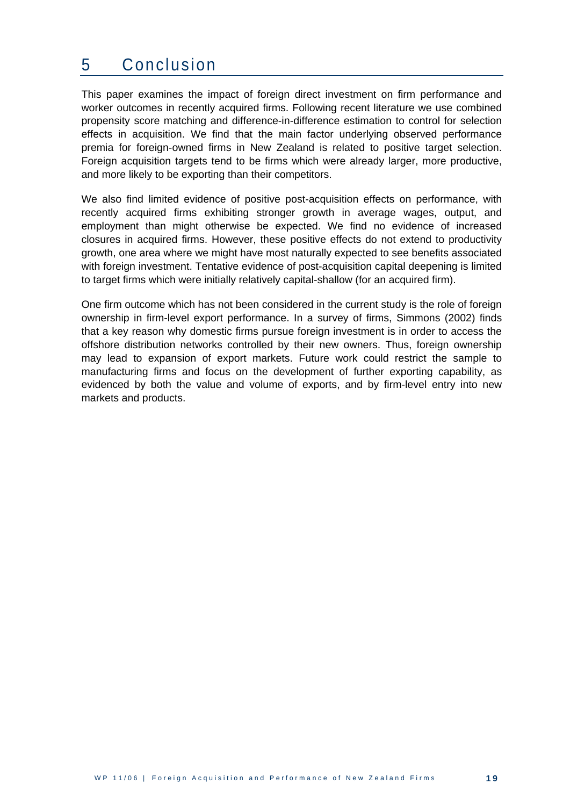### <span id="page-23-0"></span>5 Conclusion

This paper examines the impact of foreign direct investment on firm performance and worker outcomes in recently acquired firms. Following recent literature we use combined propensity score matching and difference-in-difference estimation to control for selection effects in acquisition. We find that the main factor underlying observed performance premia for foreign-owned firms in New Zealand is related to positive target selection. Foreign acquisition targets tend to be firms which were already larger, more productive, and more likely to be exporting than their competitors.

We also find limited evidence of positive post-acquisition effects on performance, with recently acquired firms exhibiting stronger growth in average wages, output, and employment than might otherwise be expected. We find no evidence of increased closures in acquired firms. However, these positive effects do not extend to productivity growth, one area where we might have most naturally expected to see benefits associated with foreign investment. Tentative evidence of post-acquisition capital deepening is limited to target firms which were initially relatively capital-shallow (for an acquired firm).

One firm outcome which has not been considered in the current study is the role of foreign ownership in firm-level export performance. In a survey of firms, Simmons (2002) finds that a key reason why domestic firms pursue foreign investment is in order to access the offshore distribution networks controlled by their new owners. Thus, foreign ownership may lead to expansion of export markets. Future work could restrict the sample to manufacturing firms and focus on the development of further exporting capability, as evidenced by both the value and volume of exports, and by firm-level entry into new markets and products.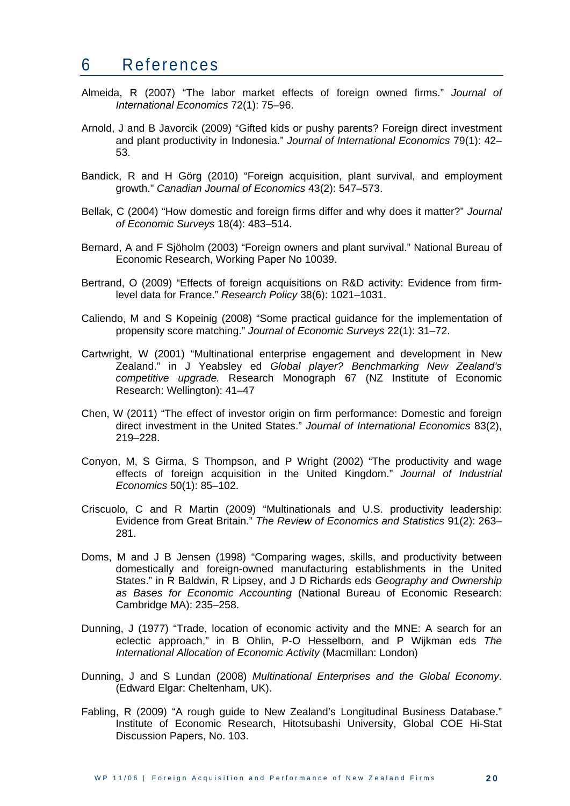#### <span id="page-24-0"></span>6 References

- Almeida, R (2007) "The labor market effects of foreign owned firms." *Journal of International Economics* 72(1): 75–96.
- Arnold, J and B Javorcik (2009) "Gifted kids or pushy parents? Foreign direct investment and plant productivity in Indonesia." *Journal of International Economics* 79(1): 42– 53.
- Bandick, R and H Görg (2010) "Foreign acquisition, plant survival, and employment growth." *Canadian Journal of Economics* 43(2): 547–573.
- Bellak, C (2004) "How domestic and foreign firms differ and why does it matter?" *Journal of Economic Surveys* 18(4): 483–514.
- Bernard, A and F Sjöholm (2003) "Foreign owners and plant survival." National Bureau of Economic Research, Working Paper No 10039.
- Bertrand, O (2009) "Effects of foreign acquisitions on R&D activity: Evidence from firmlevel data for France." *Research Policy* 38(6): 1021–1031.
- Caliendo, M and S Kopeinig (2008) "Some practical guidance for the implementation of propensity score matching." *Journal of Economic Surveys* 22(1): 31–72.
- Cartwright, W (2001) "Multinational enterprise engagement and development in New Zealand." in J Yeabsley ed *Global player? Benchmarking New Zealand's competitive upgrade.* Research Monograph 67 (NZ Institute of Economic Research: Wellington): 41–47
- Chen, W (2011) "The effect of investor origin on firm performance: Domestic and foreign direct investment in the United States." *Journal of International Economics* 83(2), 219–228.
- Conyon, M, S Girma, S Thompson, and P Wright (2002) "The productivity and wage effects of foreign acquisition in the United Kingdom." *Journal of Industrial Economics* 50(1): 85–102.
- Criscuolo, C and R Martin (2009) "Multinationals and U.S. productivity leadership: Evidence from Great Britain." *The Review of Economics and Statistics* 91(2): 263– 281.
- Doms, M and J B Jensen (1998) "Comparing wages, skills, and productivity between domestically and foreign-owned manufacturing establishments in the United States." in R Baldwin, R Lipsey, and J D Richards eds *Geography and Ownership as Bases for Economic Accounting* (National Bureau of Economic Research: Cambridge MA): 235–258.
- Dunning, J (1977) "Trade, location of economic activity and the MNE: A search for an eclectic approach," in B Ohlin, P-O Hesselborn, and P Wijkman eds *The International Allocation of Economic Activity* (Macmillan: London)
- Dunning, J and S Lundan (2008) *Multinational Enterprises and the Global Economy*. (Edward Elgar: Cheltenham, UK).
- Fabling, R (2009) "A rough guide to New Zealand's Longitudinal Business Database." Institute of Economic Research, Hitotsubashi University, Global COE Hi-Stat Discussion Papers, No. 103.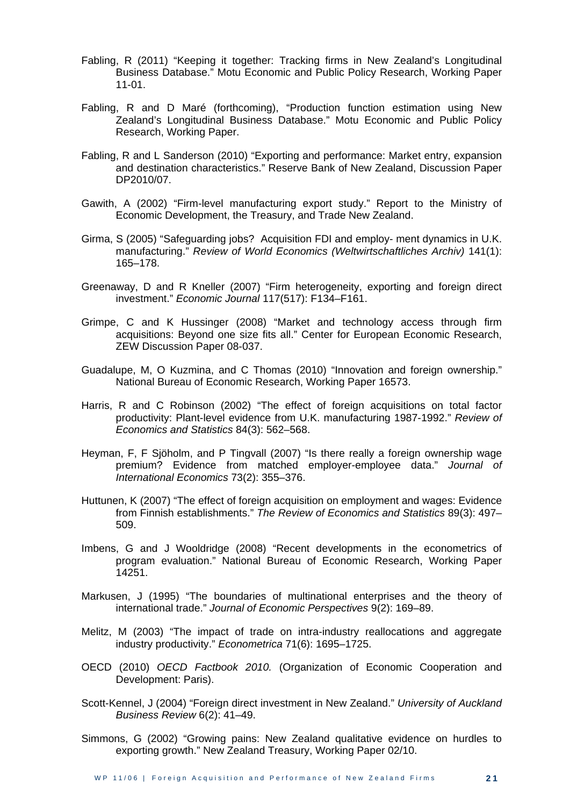- Fabling, R (2011) "Keeping it together: Tracking firms in New Zealand's Longitudinal Business Database." Motu Economic and Public Policy Research, Working Paper 11-01.
- Fabling, R and D Maré (forthcoming), "Production function estimation using New Zealand's Longitudinal Business Database." Motu Economic and Public Policy Research, Working Paper.
- Fabling, R and L Sanderson (2010) "Exporting and performance: Market entry, expansion and destination characteristics." Reserve Bank of New Zealand, Discussion Paper DP2010/07.
- Gawith, A (2002) "Firm-level manufacturing export study." Report to the Ministry of Economic Development, the Treasury, and Trade New Zealand.
- Girma, S (2005) "Safeguarding jobs? Acquisition FDI and employ- ment dynamics in U.K. manufacturing." *Review of World Economics (Weltwirtschaftliches Archiv)* 141(1): 165–178.
- Greenaway, D and R Kneller (2007) "Firm heterogeneity, exporting and foreign direct investment." *Economic Journal* 117(517): F134–F161.
- Grimpe, C and K Hussinger (2008) "Market and technology access through firm acquisitions: Beyond one size fits all." Center for European Economic Research, ZEW Discussion Paper 08-037.
- Guadalupe, M, O Kuzmina, and C Thomas (2010) "Innovation and foreign ownership." National Bureau of Economic Research, Working Paper 16573.
- Harris, R and C Robinson (2002) "The effect of foreign acquisitions on total factor productivity: Plant-level evidence from U.K. manufacturing 1987-1992." *Review of Economics and Statistics* 84(3): 562–568.
- Heyman, F, F Sjöholm, and P Tingvall (2007) "Is there really a foreign ownership wage premium? Evidence from matched employer-employee data." *Journal of International Economics* 73(2): 355–376.
- Huttunen, K (2007) "The effect of foreign acquisition on employment and wages: Evidence from Finnish establishments." *The Review of Economics and Statistics* 89(3): 497– 509.
- Imbens, G and J Wooldridge (2008) "Recent developments in the econometrics of program evaluation." National Bureau of Economic Research, Working Paper 14251.
- Markusen, J (1995) "The boundaries of multinational enterprises and the theory of international trade." *Journal of Economic Perspectives* 9(2): 169–89.
- Melitz, M (2003) "The impact of trade on intra-industry reallocations and aggregate industry productivity." *Econometrica* 71(6): 1695–1725.
- OECD (2010) *OECD Factbook 2010.* (Organization of Economic Cooperation and Development: Paris).
- Scott-Kennel, J (2004) "Foreign direct investment in New Zealand." *University of Auckland Business Review* 6(2): 41–49.
- Simmons, G (2002) "Growing pains: New Zealand qualitative evidence on hurdles to exporting growth." New Zealand Treasury, Working Paper 02/10.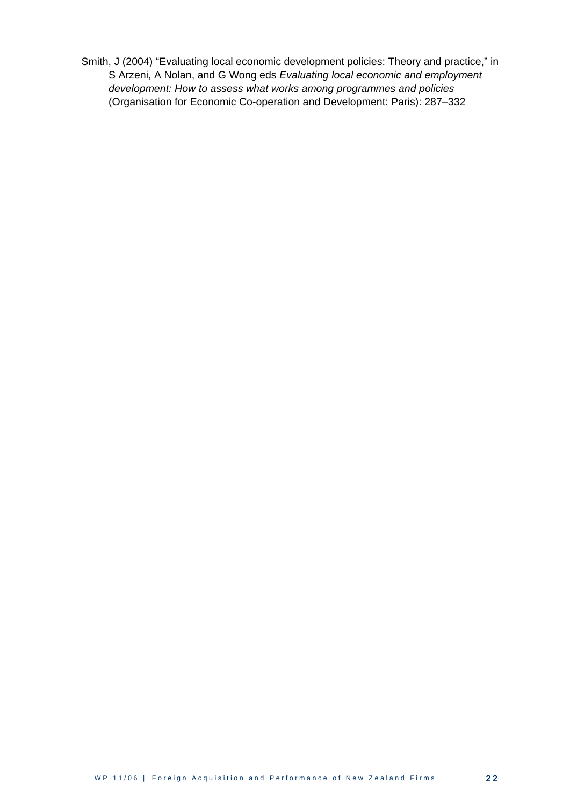Smith, J (2004) "Evaluating local economic development policies: Theory and practice," in S Arzeni, A Nolan, and G Wong eds *Evaluating local economic and employment development: How to assess what works among programmes and policies* (Organisation for Economic Co-operation and Development: Paris): 287–332